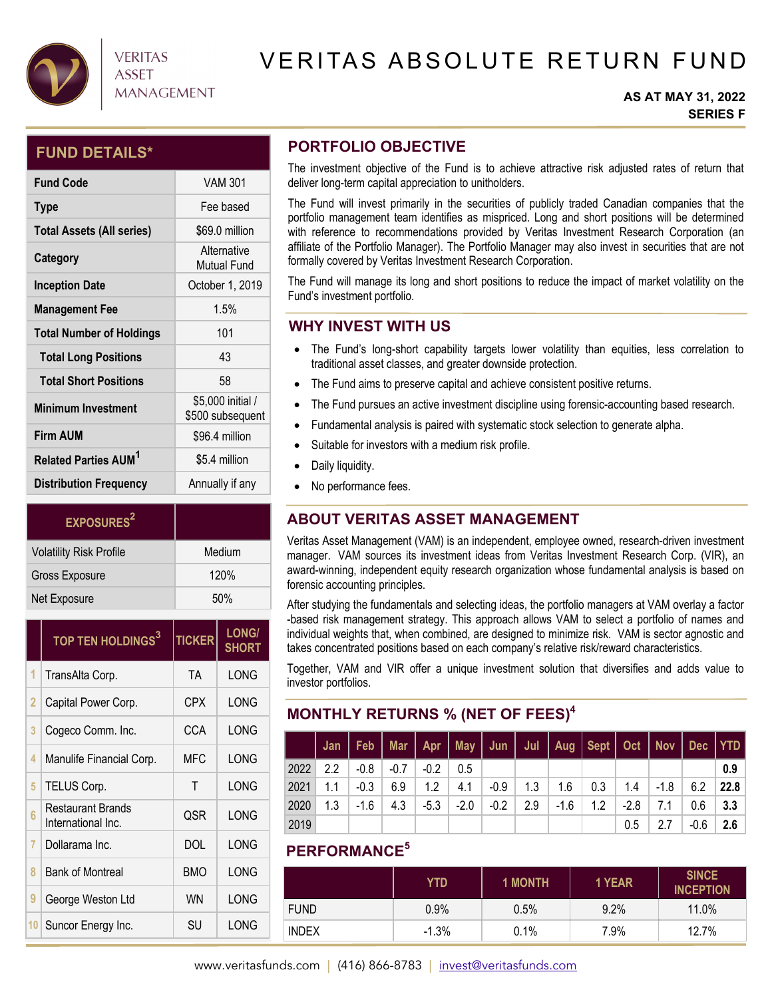

# **VERITAS** ASSET **MANAGEMENT**

# VERITAS ABSOLUTE RETURN FUND

#### **AS AT MAY 31, 2022 SERIES F**

## **FUND DETAILS\***

| <b>Fund Code</b>                       | <b>VAM 301</b>                        |
|----------------------------------------|---------------------------------------|
| <b>Type</b>                            | Fee based                             |
| <b>Total Assets (All series)</b>       | \$69.0 million                        |
| Category                               | Alternative<br><b>Mutual Fund</b>     |
| <b>Inception Date</b>                  | October 1, 2019                       |
| <b>Management Fee</b>                  | 1.5%                                  |
| <b>Total Number of Holdings</b>        | 101                                   |
| <b>Total Long Positions</b>            | 43                                    |
| <b>Total Short Positions</b>           | 58                                    |
| <b>Minimum Investment</b>              | \$5,000 initial /<br>\$500 subsequent |
| <b>Firm AUM</b>                        | \$96.4 million                        |
| <b>Related Parties AUM<sup>1</sup></b> | \$5.4 million                         |
| <b>Distribution Frequency</b>          | Annually if any                       |

| EXPOSURES <sup>2</sup>         |        |
|--------------------------------|--------|
| <b>Volatility Risk Profile</b> | Medium |
| <b>Gross Exposure</b>          | 120%   |
| Net Exposure                   | 50%    |

|                 | TOP TEN HOLDINGS <sup>3</sup>           | <b>TICKER</b> | <b>LONG/</b><br><b>SHORT</b> |
|-----------------|-----------------------------------------|---------------|------------------------------|
| 1               | TransAlta Corp.                         | TA            | LONG                         |
| 2               | Capital Power Corp.                     | CPX           | LONG                         |
| 3               | Cogeco Comm. Inc.                       | CCA           | LONG                         |
| 4               | Manulife Financial Corp.                | <b>MFC</b>    | LONG                         |
| 5               | TELUS Corp.                             | Τ             | LONG                         |
| 6               | Restaurant Brands<br>International Inc. | <b>QSR</b>    | LONG                         |
| 7               | Dollarama Inc.                          | DOL           | LONG                         |
| 8               | <b>Bank of Montreal</b>                 | <b>BMO</b>    | LONG                         |
| 9               | George Weston Ltd                       | <b>WN</b>     | LONG                         |
| 10 <sup>°</sup> | Suncor Energy Inc.                      | SU            | LONG                         |

## **PORTFOLIO OBJECTIVE**

The investment objective of the Fund is to achieve attractive risk adjusted rates of return that deliver long-term capital appreciation to unitholders.

The Fund will invest primarily in the securities of publicly traded Canadian companies that the portfolio management team identifies as mispriced. Long and short positions will be determined with reference to recommendations provided by Veritas Investment Research Corporation (an affiliate of the Portfolio Manager). The Portfolio Manager may also invest in securities that are not formally covered by Veritas Investment Research Corporation.

The Fund will manage its long and short positions to reduce the impact of market volatility on the Fund's investment portfolio.

## **WHY INVEST WITH US**

- The Fund's long-short capability targets lower volatility than equities, less correlation to traditional asset classes, and greater downside protection.
- The Fund aims to preserve capital and achieve consistent positive returns.
- The Fund pursues an active investment discipline using forensic-accounting based research.
- Fundamental analysis is paired with systematic stock selection to generate alpha.
- Suitable for investors with a medium risk profile.
- Daily liquidity.
- No performance fees.

# **ABOUT VERITAS ASSET MANAGEMENT**

Veritas Asset Management (VAM) is an independent, employee owned, research-driven investment manager. VAM sources its investment ideas from Veritas Investment Research Corp. (VIR), an award-winning, independent equity research organization whose fundamental analysis is based on forensic accounting principles.

After studying the fundamentals and selecting ideas, the portfolio managers at VAM overlay a factor -based risk management strategy. This approach allows VAM to select a portfolio of names and individual weights that, when combined, are designed to minimize risk. VAM is sector agnostic and takes concentrated positions based on each company's relative risk/reward characteristics.

Together, VAM and VIR offer a unique investment solution that diversifies and adds value to investor portfolios.

# **MONTHLY RETURNS % (NET OF FEES)4**

|      |     | Jan   Feb   Mar   Apr   May   Jun   Jul   Aug   Sept   Oct   Nov   Dec   YTD |              |        |        |        |     |        |               |      |                    |      |      |
|------|-----|------------------------------------------------------------------------------|--------------|--------|--------|--------|-----|--------|---------------|------|--------------------|------|------|
| 2022 | 2.2 | $-0.8$                                                                       | $\vert$ -0.7 | $-0.2$ | 0.5    |        |     |        |               |      |                    |      | 0.9  |
| 2021 | 1.1 | $-0.3$                                                                       | 6.9          | 1.2    | 4.1    | $-0.9$ | 1.3 |        | $1.6$ 0.3     | 1.4  | $\cdot$ -1.8 $\pm$ | 6.2  | 22.8 |
| 2020 | 1.3 | -1.6                                                                         | 4.3          | $-5.3$ | $-2.0$ | $-0.2$ | 2.9 | $-1.6$ | $1.2^{\circ}$ | -2.8 | 7.1                | 0.6  | 3.3  |
| 2019 |     |                                                                              |              |        |        |        |     |        |               | 0.5  | 2.7                | -0.6 | 2.6  |

# **PERFORMANCE5**

|              | YTD.    | <b>1 MONTH</b> | 1 YEAR | <b>SINCE</b><br><b>INCEPTION</b> |
|--------------|---------|----------------|--------|----------------------------------|
| <b>FUND</b>  | $0.9\%$ | 0.5%           | 9.2%   | 11.0%                            |
| <b>INDEX</b> | $-1.3%$ | 0.1%           | 7.9%   | 12.7%                            |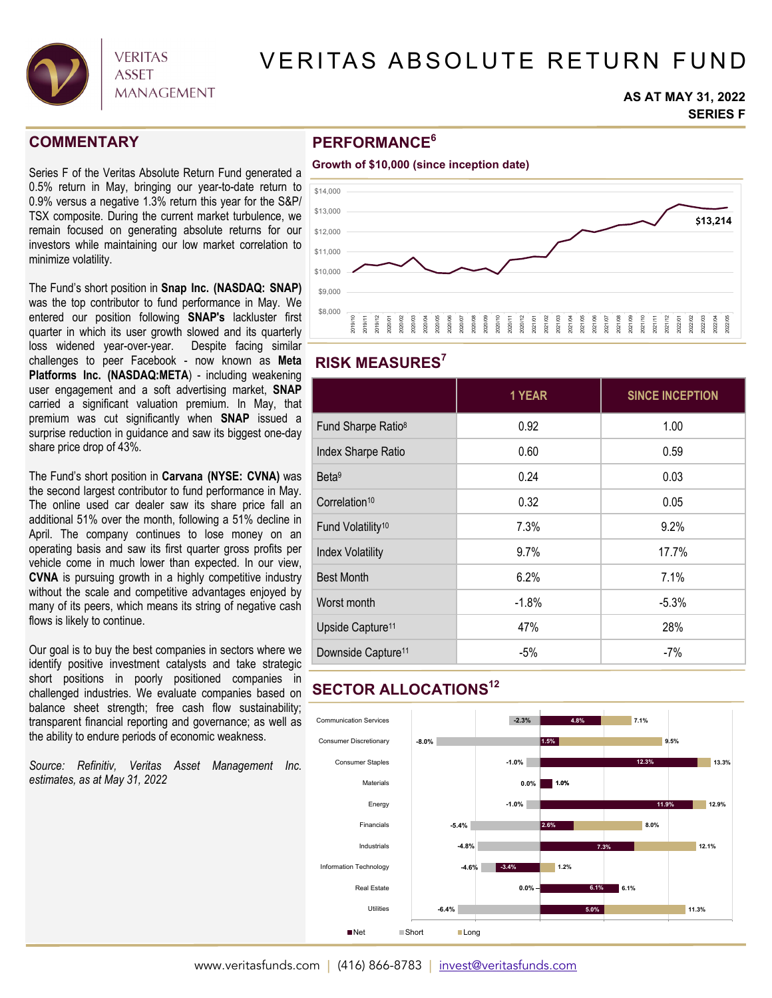

# VERITAS ABSOLUTE RETURN FUND

#### **AS AT MAY 31, 2022 SERIES F**

### **COMMENTARY**

Series F of the Veritas Absolute Return Fund generated a 0.5% return in May, bringing our year-to-date return to 0.9% versus a negative 1.3% return this year for the S&P/ TSX composite. During the current market turbulence, we remain focused on generating absolute returns for our investors while maintaining our low market correlation to minimize volatility.

The Fund's short position in **Snap Inc. (NASDAQ: SNAP)** was the top contributor to fund performance in May. We entered our position following **SNAP's** lackluster first quarter in which its user growth slowed and its quarterly loss widened year-over-year. Despite facing similar challenges to peer Facebook - now known as **Meta Platforms Inc. (NASDAQ:META**) - including weakening user engagement and a soft advertising market, **SNAP** carried a significant valuation premium. In May, that premium was cut significantly when **SNAP** issued a surprise reduction in guidance and saw its biggest one-day share price drop of 43%.

The Fund's short position in **Carvana (NYSE: CVNA)** was the second largest contributor to fund performance in May. The online used car dealer saw its share price fall an additional 51% over the month, following a 51% decline in April. The company continues to lose money on an operating basis and saw its first quarter gross profits per vehicle come in much lower than expected. In our view, **CVNA** is pursuing growth in a highly competitive industry without the scale and competitive advantages enjoyed by many of its peers, which means its string of negative cash flows is likely to continue.

Our goal is to buy the best companies in sectors where we identify positive investment catalysts and take strategic short positions in poorly positioned companies in challenged industries. We evaluate companies based on balance sheet strength; free cash flow sustainability; transparent financial reporting and governance; as well as the ability to endure periods of economic weakness.

*Source: Refinitiv, Veritas Asset Management Inc. estimates, as at May 31, 2022* 

# **PERFORMANCE6**



## **RISK MEASURES7**

|                                | 1 YEAR  | <b>SINCE INCEPTION</b> |
|--------------------------------|---------|------------------------|
| Fund Sharpe Ratio <sup>8</sup> | 0.92    | 1.00                   |
| Index Sharpe Ratio             | 0.60    | 0.59                   |
| Beta <sup>9</sup>              | 0.24    | 0.03                   |
| Correlation <sup>10</sup>      | 0.32    | 0.05                   |
| Fund Volatility <sup>10</sup>  | 7.3%    | 9.2%                   |
| <b>Index Volatility</b>        | 9.7%    | 17.7%                  |
| <b>Best Month</b>              | 6.2%    | 7.1%                   |
| Worst month                    | $-1.8%$ | $-5.3%$                |
| Upside Capture <sup>11</sup>   | 47%     | 28%                    |
| Downside Capture <sup>11</sup> | $-5%$   | -7%                    |

# **SECTOR ALLOCATIONS12**